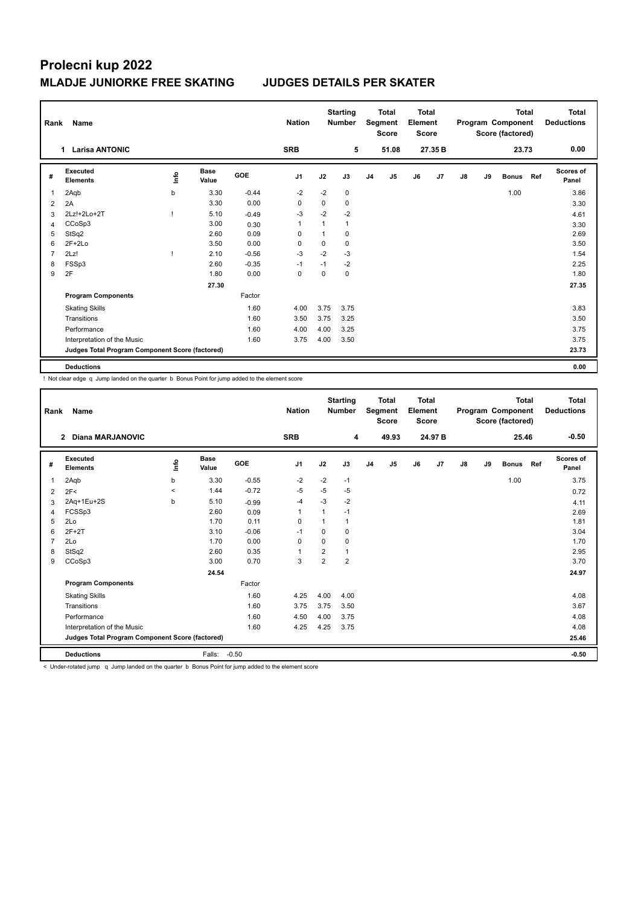# **Prolecni kup 2022 MLADJE JUNIORKE FREE SKATING JUDGES DETAILS PER SKATER**

| Rank           | Name                                            |      |                      |            | <b>Nation</b>  |              | <b>Starting</b><br><b>Total</b><br>Segment<br><b>Number</b><br><b>Score</b> |                |                | <b>Total</b><br>Element<br><b>Score</b> |         | <b>Total</b><br>Program Component<br>Score (factored) |    |              |     | <b>Total</b><br><b>Deductions</b> |
|----------------|-------------------------------------------------|------|----------------------|------------|----------------|--------------|-----------------------------------------------------------------------------|----------------|----------------|-----------------------------------------|---------|-------------------------------------------------------|----|--------------|-----|-----------------------------------|
|                | <b>Larisa ANTONIC</b><br>1.                     |      |                      |            | <b>SRB</b>     |              | 5                                                                           |                | 51.08          |                                         | 27.35 B | 23.73                                                 |    |              |     | 0.00                              |
| #              | Executed<br><b>Elements</b>                     | ١nfo | <b>Base</b><br>Value | <b>GOE</b> | J <sub>1</sub> | J2           | J3                                                                          | J <sub>4</sub> | J <sub>5</sub> | J6                                      | J7      | J8                                                    | J9 | <b>Bonus</b> | Ref | <b>Scores of</b><br>Panel         |
| 1              | 2Aqb                                            | b    | 3.30                 | $-0.44$    | $-2$           | $-2$         | $\mathbf 0$                                                                 |                |                |                                         |         |                                                       |    | 1.00         |     | 3.86                              |
| $\overline{2}$ | 2A                                              |      | 3.30                 | 0.00       | 0              | 0            | 0                                                                           |                |                |                                         |         |                                                       |    |              |     | 3.30                              |
| 3              | 2Lz!+2Lo+2T                                     |      | 5.10                 | $-0.49$    | $-3$           | $-2$         | $-2$                                                                        |                |                |                                         |         |                                                       |    |              |     | 4.61                              |
| 4              | CCoSp3                                          |      | 3.00                 | 0.30       | 1              | $\mathbf{1}$ | $\mathbf{1}$                                                                |                |                |                                         |         |                                                       |    |              |     | 3.30                              |
| 5              | StSq2                                           |      | 2.60                 | 0.09       | 0              | 1            | 0                                                                           |                |                |                                         |         |                                                       |    |              |     | 2.69                              |
| 6              | $2F+2Lo$                                        |      | 3.50                 | 0.00       | 0              | 0            | 0                                                                           |                |                |                                         |         |                                                       |    |              |     | 3.50                              |
| 7              | 2Lz!                                            |      | 2.10                 | $-0.56$    | $-3$           | $-2$         | $-3$                                                                        |                |                |                                         |         |                                                       |    |              |     | 1.54                              |
| 8              | FSSp3                                           |      | 2.60                 | $-0.35$    | $-1$           | $-1$         | $-2$                                                                        |                |                |                                         |         |                                                       |    |              |     | 2.25                              |
| 9              | 2F                                              |      | 1.80                 | 0.00       | $\mathbf 0$    | 0            | $\mathbf 0$                                                                 |                |                |                                         |         |                                                       |    |              |     | 1.80                              |
|                |                                                 |      | 27.30                |            |                |              |                                                                             |                |                |                                         |         |                                                       |    |              |     | 27.35                             |
|                | <b>Program Components</b>                       |      |                      | Factor     |                |              |                                                                             |                |                |                                         |         |                                                       |    |              |     |                                   |
|                | <b>Skating Skills</b>                           |      |                      | 1.60       | 4.00           | 3.75         | 3.75                                                                        |                |                |                                         |         |                                                       |    |              |     | 3.83                              |
|                | Transitions                                     |      |                      | 1.60       | 3.50           | 3.75         | 3.25                                                                        |                |                |                                         |         |                                                       |    |              |     | 3.50                              |
|                | Performance                                     |      |                      | 1.60       | 4.00           | 4.00         | 3.25                                                                        |                |                |                                         |         |                                                       |    |              |     | 3.75                              |
|                | Interpretation of the Music                     |      |                      | 1.60       | 3.75           | 4.00         | 3.50                                                                        |                |                |                                         |         |                                                       |    |              |     | 3.75                              |
|                | Judges Total Program Component Score (factored) |      |                      |            |                |              |                                                                             |                |                |                                         |         |                                                       |    |              |     | 23.73                             |
|                | <b>Deductions</b>                               |      |                      |            |                |              |                                                                             |                |                |                                         |         |                                                       |    |              |     | 0.00                              |

! Not clear edge q Jump landed on the quarter b Bonus Point for jump added to the element score

| Rank | Name                                            |         | <b>Nation</b>        |         | <b>Starting</b><br><b>Number</b> | <b>Total</b><br>Segment<br><b>Score</b> |                | Total<br>Element<br><b>Score</b> |                | <b>Total</b><br>Program Component<br>Score (factored) |         |    |    | Total<br><b>Deductions</b> |     |                           |
|------|-------------------------------------------------|---------|----------------------|---------|----------------------------------|-----------------------------------------|----------------|----------------------------------|----------------|-------------------------------------------------------|---------|----|----|----------------------------|-----|---------------------------|
|      | Diana MARJANOVIC<br>$\overline{2}$              |         |                      |         | <b>SRB</b>                       |                                         | 4              |                                  | 49.93          |                                                       | 24.97 B |    |    | 25.46                      |     | $-0.50$                   |
| #    | Executed<br><b>Elements</b>                     | ۴ů      | <b>Base</b><br>Value | GOE     | J <sub>1</sub>                   | J2                                      | J3             | J <sub>4</sub>                   | J <sub>5</sub> | J6                                                    | J7      | J8 | J9 | <b>Bonus</b>               | Ref | <b>Scores of</b><br>Panel |
| 1    | 2Aqb                                            | b       | 3.30                 | $-0.55$ | $-2$                             | $-2$                                    | $-1$           |                                  |                |                                                       |         |    |    | 1.00                       |     | 3.75                      |
| 2    | 2F<                                             | $\prec$ | 1.44                 | $-0.72$ | $-5$                             | $-5$                                    | -5             |                                  |                |                                                       |         |    |    |                            |     | 0.72                      |
| 3    | 2Aq+1Eu+2S                                      | b       | 5.10                 | $-0.99$ | $-4$                             | $-3$                                    | $-2$           |                                  |                |                                                       |         |    |    |                            |     | 4.11                      |
| 4    | FCSSp3                                          |         | 2.60                 | 0.09    | 1                                | 1                                       | $-1$           |                                  |                |                                                       |         |    |    |                            |     | 2.69                      |
| 5    | 2Lo                                             |         | 1.70                 | 0.11    | 0                                | $\overline{1}$                          | 1              |                                  |                |                                                       |         |    |    |                            |     | 1.81                      |
| 6    | $2F+2T$                                         |         | 3.10                 | $-0.06$ | $-1$                             | 0                                       | 0              |                                  |                |                                                       |         |    |    |                            |     | 3.04                      |
| 7    | 2Lo                                             |         | 1.70                 | 0.00    | $\Omega$                         | $\Omega$                                | $\Omega$       |                                  |                |                                                       |         |    |    |                            |     | 1.70                      |
| 8    | StSq2                                           |         | 2.60                 | 0.35    | 1                                | $\overline{\mathbf{c}}$                 | 1              |                                  |                |                                                       |         |    |    |                            |     | 2.95                      |
| 9    | CCoSp3                                          |         | 3.00                 | 0.70    | 3                                | $\overline{2}$                          | $\overline{2}$ |                                  |                |                                                       |         |    |    |                            |     | 3.70                      |
|      |                                                 |         | 24.54                |         |                                  |                                         |                |                                  |                |                                                       |         |    |    |                            |     | 24.97                     |
|      | <b>Program Components</b>                       |         |                      | Factor  |                                  |                                         |                |                                  |                |                                                       |         |    |    |                            |     |                           |
|      | <b>Skating Skills</b>                           |         |                      | 1.60    | 4.25                             | 4.00                                    | 4.00           |                                  |                |                                                       |         |    |    |                            |     | 4.08                      |
|      | Transitions                                     |         |                      | 1.60    | 3.75                             | 3.75                                    | 3.50           |                                  |                |                                                       |         |    |    |                            |     | 3.67                      |
|      | Performance                                     |         |                      | 1.60    | 4.50                             | 4.00                                    | 3.75           |                                  |                |                                                       |         |    |    |                            |     | 4.08                      |
|      | Interpretation of the Music                     |         |                      | 1.60    | 4.25                             | 4.25                                    | 3.75           |                                  |                |                                                       |         |    |    |                            |     | 4.08                      |
|      | Judges Total Program Component Score (factored) |         |                      |         |                                  |                                         |                |                                  |                |                                                       |         |    |    |                            |     | 25.46                     |
|      | <b>Deductions</b>                               |         | Falls:               | $-0.50$ |                                  |                                         |                |                                  |                |                                                       |         |    |    |                            |     | $-0.50$                   |

< Under-rotated jump q Jump landed on the quarter b Bonus Point for jump added to the element score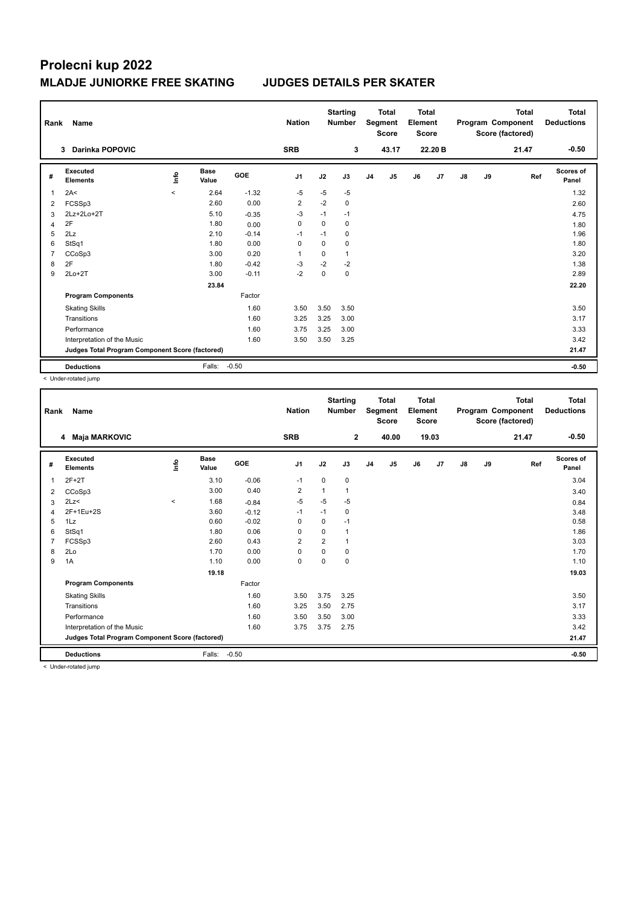# **Prolecni kup 2022 MLADJE JUNIORKE FREE SKATING JUDGES DETAILS PER SKATER**

|                | Name<br>Rank                                    |         |                      |            | <b>Nation</b>  | <b>Starting</b><br><b>Number</b> |              | <b>Total</b><br>Segment<br><b>Score</b> |                | <b>Total</b><br>Element<br>Score |         | Program Component |    | <b>Total</b><br>Score (factored) | Total<br><b>Deductions</b> |
|----------------|-------------------------------------------------|---------|----------------------|------------|----------------|----------------------------------|--------------|-----------------------------------------|----------------|----------------------------------|---------|-------------------|----|----------------------------------|----------------------------|
|                | <b>Darinka POPOVIC</b><br>3                     |         |                      |            | <b>SRB</b>     |                                  | 3            |                                         | 43.17          |                                  | 22.20 B |                   |    | 21.47                            | $-0.50$                    |
| #              | Executed<br><b>Elements</b>                     | Info    | <b>Base</b><br>Value | <b>GOE</b> | J <sub>1</sub> | J2                               | J3           | J <sub>4</sub>                          | J <sub>5</sub> | J6                               | J7      | J8                | J9 | Ref                              | <b>Scores of</b><br>Panel  |
| 1              | 2A<                                             | $\prec$ | 2.64                 | $-1.32$    | -5             | $-5$                             | $-5$         |                                         |                |                                  |         |                   |    |                                  | 1.32                       |
| 2              | FCSSp3                                          |         | 2.60                 | 0.00       | $\overline{2}$ | $-2$                             | $\mathbf 0$  |                                         |                |                                  |         |                   |    |                                  | 2.60                       |
| 3              | 2Lz+2Lo+2T                                      |         | 5.10                 | $-0.35$    | $-3$           | $-1$                             | $-1$         |                                         |                |                                  |         |                   |    |                                  | 4.75                       |
| 4              | 2F                                              |         | 1.80                 | 0.00       | 0              | 0                                | 0            |                                         |                |                                  |         |                   |    |                                  | 1.80                       |
| 5              | 2Lz                                             |         | 2.10                 | $-0.14$    | -1             | $-1$                             | 0            |                                         |                |                                  |         |                   |    |                                  | 1.96                       |
| 6              | StSq1                                           |         | 1.80                 | 0.00       | 0              | 0                                | 0            |                                         |                |                                  |         |                   |    |                                  | 1.80                       |
| $\overline{7}$ | CCoSp3                                          |         | 3.00                 | 0.20       | $\overline{1}$ | 0                                | $\mathbf{1}$ |                                         |                |                                  |         |                   |    |                                  | 3.20                       |
| 8              | 2F                                              |         | 1.80                 | $-0.42$    | $-3$           | $-2$                             | $-2$         |                                         |                |                                  |         |                   |    |                                  | 1.38                       |
| 9              | $2Lo+2T$                                        |         | 3.00                 | $-0.11$    | $-2$           | $\mathbf 0$                      | $\mathbf 0$  |                                         |                |                                  |         |                   |    |                                  | 2.89                       |
|                |                                                 |         | 23.84                |            |                |                                  |              |                                         |                |                                  |         |                   |    |                                  | 22.20                      |
|                | <b>Program Components</b>                       |         |                      | Factor     |                |                                  |              |                                         |                |                                  |         |                   |    |                                  |                            |
|                | <b>Skating Skills</b>                           |         |                      | 1.60       | 3.50           | 3.50                             | 3.50         |                                         |                |                                  |         |                   |    |                                  | 3.50                       |
|                | Transitions                                     |         |                      | 1.60       | 3.25           | 3.25                             | 3.00         |                                         |                |                                  |         |                   |    |                                  | 3.17                       |
|                | Performance                                     |         |                      | 1.60       | 3.75           | 3.25                             | 3.00         |                                         |                |                                  |         |                   |    |                                  | 3.33                       |
|                | Interpretation of the Music                     |         |                      | 1.60       | 3.50           | 3.50                             | 3.25         |                                         |                |                                  |         |                   |    |                                  | 3.42                       |
|                | Judges Total Program Component Score (factored) |         |                      |            |                |                                  |              |                                         |                |                                  |         |                   |    |                                  | 21.47                      |
|                | <b>Deductions</b>                               |         | Falls:               | $-0.50$    |                |                                  |              |                                         |                |                                  |         |                   |    |                                  | $-0.50$                    |

< Under-rotated jump

| Rank | Name                                            |             |                      |         | <b>Nation</b>  |                | <b>Starting</b><br><b>Number</b> |    | <b>Total</b><br>Segment<br><b>Score</b> | <b>Total</b><br>Element<br><b>Score</b> |       |               |    | <b>Total</b><br>Program Component<br>Score (factored) | <b>Total</b><br><b>Deductions</b> |
|------|-------------------------------------------------|-------------|----------------------|---------|----------------|----------------|----------------------------------|----|-----------------------------------------|-----------------------------------------|-------|---------------|----|-------------------------------------------------------|-----------------------------------|
|      | 4 Maja MARKOVIC                                 |             |                      |         | <b>SRB</b>     |                | $\overline{2}$                   |    | 40.00                                   |                                         | 19.03 |               |    | 21.47                                                 | $-0.50$                           |
| #    | Executed<br><b>Elements</b>                     | <u>lnfo</u> | <b>Base</b><br>Value | GOE     | J <sub>1</sub> | J2             | J3                               | J4 | J5                                      | J6                                      | J7    | $\mathsf{J}8$ | J9 | Ref                                                   | <b>Scores of</b><br>Panel         |
| 1    | $2F+2T$                                         |             | 3.10                 | $-0.06$ | $-1$           | 0              | 0                                |    |                                         |                                         |       |               |    |                                                       | 3.04                              |
| 2    | CCoSp3                                          |             | 3.00                 | 0.40    | $\overline{2}$ | 1              | 1                                |    |                                         |                                         |       |               |    |                                                       | 3.40                              |
| 3    | 2Lz                                             | $\hat{}$    | 1.68                 | $-0.84$ | $-5$           | $-5$           | $-5$                             |    |                                         |                                         |       |               |    |                                                       | 0.84                              |
| 4    | 2F+1Eu+2S                                       |             | 3.60                 | $-0.12$ | $-1$           | $-1$           | $\mathbf 0$                      |    |                                         |                                         |       |               |    |                                                       | 3.48                              |
| 5    | 1Lz                                             |             | 0.60                 | $-0.02$ | 0              | 0              | $-1$                             |    |                                         |                                         |       |               |    |                                                       | 0.58                              |
| 6    | StSq1                                           |             | 1.80                 | 0.06    | $\mathbf 0$    | 0              | 1                                |    |                                         |                                         |       |               |    |                                                       | 1.86                              |
| 7    | FCSSp3                                          |             | 2.60                 | 0.43    | $\overline{2}$ | $\overline{2}$ | 1                                |    |                                         |                                         |       |               |    |                                                       | 3.03                              |
| 8    | 2Lo                                             |             | 1.70                 | 0.00    | $\mathbf 0$    | 0              | 0                                |    |                                         |                                         |       |               |    |                                                       | 1.70                              |
| 9    | 1A                                              |             | 1.10                 | 0.00    | $\mathbf 0$    | $\Omega$       | 0                                |    |                                         |                                         |       |               |    |                                                       | 1.10                              |
|      |                                                 |             | 19.18                |         |                |                |                                  |    |                                         |                                         |       |               |    |                                                       | 19.03                             |
|      | <b>Program Components</b>                       |             |                      | Factor  |                |                |                                  |    |                                         |                                         |       |               |    |                                                       |                                   |
|      | <b>Skating Skills</b>                           |             |                      | 1.60    | 3.50           | 3.75           | 3.25                             |    |                                         |                                         |       |               |    |                                                       | 3.50                              |
|      | Transitions                                     |             |                      | 1.60    | 3.25           | 3.50           | 2.75                             |    |                                         |                                         |       |               |    |                                                       | 3.17                              |
|      | Performance                                     |             |                      | 1.60    | 3.50           | 3.50           | 3.00                             |    |                                         |                                         |       |               |    |                                                       | 3.33                              |
|      | Interpretation of the Music                     |             |                      | 1.60    | 3.75           | 3.75           | 2.75                             |    |                                         |                                         |       |               |    |                                                       | 3.42                              |
|      | Judges Total Program Component Score (factored) |             |                      |         |                |                |                                  |    |                                         |                                         |       |               |    |                                                       | 21.47                             |
|      | <b>Deductions</b>                               |             | Falls:               | $-0.50$ |                |                |                                  |    |                                         |                                         |       |               |    |                                                       | $-0.50$                           |

< Under-rotated jump